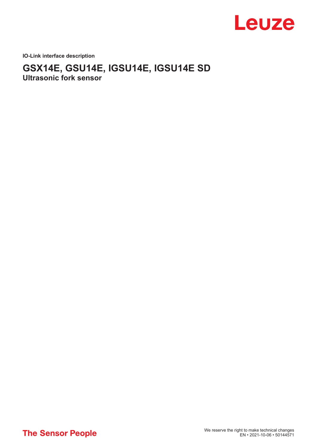

**IO-Link interface description**

# **GSX14E, GSU14E, IGSU14E, IGSU14E SD Ultrasonic fork sensor**

**The Sensor People**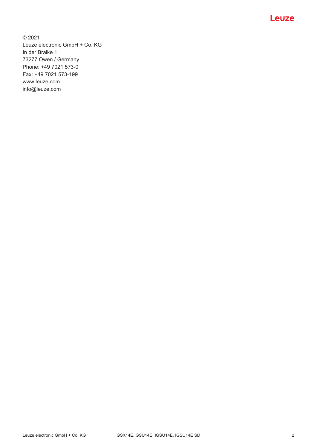

© 2021 Leuze electronic GmbH + Co. KG In der Braike 1 73277 Owen / Germany Phone: +49 7021 573-0 Fax: +49 7021 573-199 www.leuze.com info@leuze.com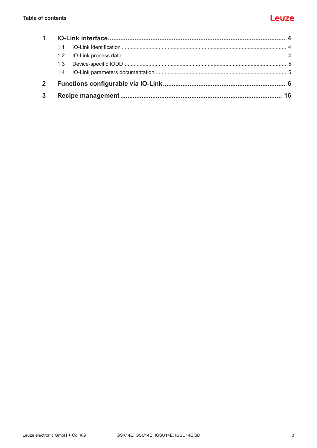| $\mathbf{2}$ |  |  |
|--------------|--|--|
| $\mathbf{3}$ |  |  |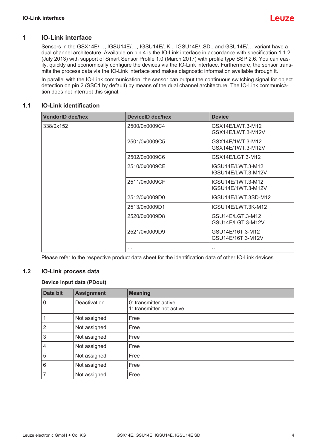

### **1 IO-Link interface**

<span id="page-3-0"></span>Sensors in the GSX14E/..., IGSU14E/..., IGSU14E/..K.., IGSU14E/..SD.. and GSU14E/... variant have a dual channel architecture. Available on pin 4 is the IO-Link interface in accordance with specification 1.1.2 (July 2013) with support of Smart Sensor Profile 1.0 (March 2017) with profile type SSP 2.6. You can easily, quickly and economically configure the devices via the IO-Link interface. Furthermore, the sensor transmits the process data via the IO-Link interface and makes diagnostic information available through it.

In parallel with the IO-Link communication, the sensor can output the continuous switching signal for object detection on pin 2 (SSC1 by default) by means of the dual channel architecture. The IO-Link communication does not interrupt this signal.

#### **1.1 IO-Link identification**

<span id="page-3-1"></span>

| <b>VendorID dec/hex</b> | <b>DeviceID dec/hex</b> | <b>Device</b>                           |
|-------------------------|-------------------------|-----------------------------------------|
| 338/0x152               | 2500/0x0009C4           | GSX14E/LWT.3-M12<br>GSX14E/LWT.3-M12V   |
|                         | 2501/0x0009C5           | GSX14E/1WT.3-M12<br>GSX14E/1WT.3-M12V   |
|                         | 2502/0x0009C6           | GSX14E/LGT.3-M12                        |
|                         | 2510/0x0009CE           | IGSU14E/LWT.3-M12<br>IGSU14E/LWT.3-M12V |
|                         | 2511/0x0009CF           | IGSU14E/1WT.3-M12<br>IGSU14E/1WT.3-M12V |
|                         | 2512/0x0009D0           | IGSU14E/LWT.3SD-M12                     |
|                         | 2513/0x0009D1           | IGSU14E/LWT.3K-M12                      |
|                         | 2520/0x0009D8           | GSU14E/LGT.3-M12<br>GSU14E/LGT.3-M12V   |
|                         | 2521/0x0009D9           | GSU14E/16T.3-M12<br>GSU14E/16T.3-M12V   |
|                         | $\cdots$                | $\cdots$                                |

Please refer to the respective product data sheet for the identification data of other IO-Link devices.

### **1.2 IO-Link process data**

#### <span id="page-3-2"></span>**Device input data (PDout)**

| Data bit | <b>Assignment</b> | <b>Meaning</b>                                     |
|----------|-------------------|----------------------------------------------------|
| 0        | Deactivation      | 0: transmitter active<br>1: transmitter not active |
| 1        | Not assigned      | Free                                               |
| 2        | Not assigned      | Free                                               |
| 3        | Not assigned      | Free                                               |
| 4        | Not assigned      | Free                                               |
| 5        | Not assigned      | Free                                               |
| 6        | Not assigned      | Free                                               |
|          | Not assigned      | Free                                               |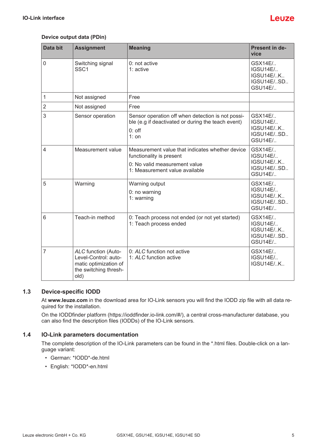## l euze

#### **Device output data (PDin)**

| Data bit       | <b>Assignment</b>                                                                                            | <b>Meaning</b>                                                                                                                                 | Present in de-<br>vice                                                           |
|----------------|--------------------------------------------------------------------------------------------------------------|------------------------------------------------------------------------------------------------------------------------------------------------|----------------------------------------------------------------------------------|
| $\mathbf 0$    | Switching signal<br>SSC <sub>1</sub>                                                                         | 0: not active<br>$1:$ active                                                                                                                   | GSX14E/<br><b>IGSU14E/</b><br><b>IGSU14E/K</b><br>IGSU14E/SD.,<br><b>GSU14E/</b> |
| 1              | Not assigned                                                                                                 | Free                                                                                                                                           |                                                                                  |
| $\overline{2}$ | Not assigned                                                                                                 | Free                                                                                                                                           |                                                                                  |
| 3              | Sensor operation                                                                                             | Sensor operation off when detection is not possi-<br>ble (e.g if deactivated or during the teach event)<br>$0:$ off<br>$1:$ on                 | GSX14E/<br><b>IGSU14E/</b><br>IGSU14E/K<br>IGSU14E/SD<br>GSU14E/                 |
| $\overline{4}$ | Measurement value                                                                                            | Measurement value that indicates whether device<br>functionality is present<br>0: No valid measurement value<br>1: Measurement value available | GSX14E/<br><b>IGSU14E/</b><br>IGSU14E/K<br>IGSU14E/SD<br><b>GSU14E/</b>          |
| 5              | Warning                                                                                                      | Warning output<br>0: no warning<br>1: warning                                                                                                  | GSX14E/<br><b>IGSU14E/</b><br><b>IGSU14E/K</b><br>IGSU14E/SD<br><b>GSU14E/</b>   |
| 6              | Teach-in method                                                                                              | 0: Teach process not ended (or not yet started)<br>1: Teach process ended                                                                      | GSX14E/<br><b>IGSU14E/</b><br>IGSU14E/K<br>IGSU14E/SD.,<br><b>GSU14E/</b>        |
| 7              | <b>ALC</b> function (Auto-<br>Level-Control: auto-<br>matic optimization of<br>the switching thresh-<br>old) | 0: ALC function not active<br>1: ALC function active                                                                                           | GSX14E/<br><b>IGSU14E/</b><br>IGSU14E/K                                          |

#### **1.3 Device-specific IODD**

<span id="page-4-0"></span>At **[www.leuze.com](http://www.leuze.com)** in the download area for IO-Link sensors you will find the IODD zip file with all data required for the installation.

On the IODDfinder platform (https://ioddfinder.io-link.com/#/), a central cross-manufacturer database, you can also find the description files (IODDs) of the IO-Link sensors.

#### **1.4 IO-Link parameters documentation**

<span id="page-4-1"></span>The complete description of the IO-Link parameters can be found in the \*.html files. Double-click on a language variant:

- German: \*IODD\*-de.html
- English: \*IODD\*-en.html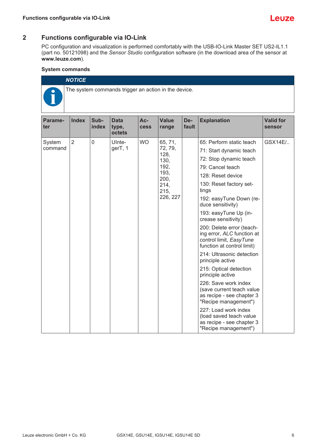### **2 Functions configurable via IO-Link**

<span id="page-5-0"></span>PC configuration and visualization is performed comfortably with the USB-IO-Link Master SET US2-IL1.1 (part no. 50121098) and the *Sensor Studio* configuration software (in the download area of the sensor at **[www.leuze.com](http://www.leuze.com)**).

#### **System commands**

| <b>NOTICE</b>                                        |
|------------------------------------------------------|
| The system commands trigger an action in the device. |

| Parame-<br>ter | <b>Index</b>   | Sub-<br>index  | <b>Data</b><br>type,<br>octets | Ac-<br><b>cess</b> | <b>Value</b><br>range                           | De-<br>fault                     | <b>Explanation</b>                                                                                     | <b>Valid for</b><br>sensor |  |  |  |  |  |  |  |  |  |  |  |  |  |                                                                                                                  |  |
|----------------|----------------|----------------|--------------------------------|--------------------|-------------------------------------------------|----------------------------------|--------------------------------------------------------------------------------------------------------|----------------------------|--|--|--|--|--|--|--|--|--|--|--|--|--|------------------------------------------------------------------------------------------------------------------|--|
| System         | $\overline{2}$ | $\overline{0}$ | UInte-                         | <b>WO</b>          | 65, 71,                                         |                                  | 65: Perform static teach                                                                               | GSX14E/                    |  |  |  |  |  |  |  |  |  |  |  |  |  |                                                                                                                  |  |
| command        |                |                | gerT, 1                        |                    | 72, 79,<br>128,<br>130,<br>192,<br>193,<br>200, |                                  | 71: Start dynamic teach                                                                                |                            |  |  |  |  |  |  |  |  |  |  |  |  |  |                                                                                                                  |  |
|                |                |                |                                |                    |                                                 |                                  | 72: Stop dynamic teach                                                                                 |                            |  |  |  |  |  |  |  |  |  |  |  |  |  |                                                                                                                  |  |
|                |                |                |                                |                    |                                                 |                                  | 79: Cancel teach                                                                                       |                            |  |  |  |  |  |  |  |  |  |  |  |  |  |                                                                                                                  |  |
|                |                |                |                                |                    |                                                 |                                  | 128: Reset device                                                                                      |                            |  |  |  |  |  |  |  |  |  |  |  |  |  |                                                                                                                  |  |
|                |                |                |                                | 214,<br>215,       |                                                 | 130: Reset factory set-<br>tings |                                                                                                        |                            |  |  |  |  |  |  |  |  |  |  |  |  |  |                                                                                                                  |  |
|                |                |                |                                |                    | 226, 227                                        |                                  | 192: easyTune Down (re-<br>duce sensitivity)                                                           |                            |  |  |  |  |  |  |  |  |  |  |  |  |  |                                                                                                                  |  |
|                |                |                |                                |                    |                                                 |                                  | 193: easyTune Up (in-<br>crease sensitivity)                                                           |                            |  |  |  |  |  |  |  |  |  |  |  |  |  |                                                                                                                  |  |
|                |                |                |                                |                    |                                                 |                                  |                                                                                                        |                            |  |  |  |  |  |  |  |  |  |  |  |  |  | 200: Delete error (teach-<br>ing error, ALC function at<br>control limit, EasyTune<br>function at control limit) |  |
|                |                |                |                                |                    |                                                 |                                  | 214: Ultrasonic detection<br>principle active                                                          |                            |  |  |  |  |  |  |  |  |  |  |  |  |  |                                                                                                                  |  |
|                |                |                |                                |                    |                                                 |                                  | 215: Optical detection<br>principle active                                                             |                            |  |  |  |  |  |  |  |  |  |  |  |  |  |                                                                                                                  |  |
|                |                |                |                                |                    |                                                 |                                  | 226: Save work index<br>(save current teach value<br>as recipe - see chapter 3<br>"Recipe management") |                            |  |  |  |  |  |  |  |  |  |  |  |  |  |                                                                                                                  |  |
|                |                |                |                                |                    |                                                 |                                  | 227: Load work index<br>(load saved teach value<br>as recipe - see chapter 3<br>"Recipe management")   |                            |  |  |  |  |  |  |  |  |  |  |  |  |  |                                                                                                                  |  |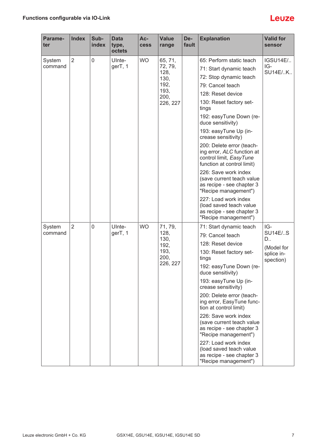| Parame-<br>ter | <b>Index</b>   | Sub-<br>index | <b>Data</b><br>type,<br>octets | Ac-<br><b>Cess</b> | <b>Value</b><br>range                                      | De-<br>fault                                                                                           | <b>Explanation</b>                                                                                               | <b>Valid for</b><br>sensor |                 |
|----------------|----------------|---------------|--------------------------------|--------------------|------------------------------------------------------------|--------------------------------------------------------------------------------------------------------|------------------------------------------------------------------------------------------------------------------|----------------------------|-----------------|
| System         | $\overline{2}$ | 0             | Ulnte-                         | <b>WO</b>          | 65, 71,<br>72, 79,<br>128,<br>130,<br>192,<br>193,<br>200, |                                                                                                        |                                                                                                                  | 65: Perform static teach   | <b>IGSU14E/</b> |
| command        |                |               | gerT, 1                        |                    |                                                            |                                                                                                        | 71: Start dynamic teach                                                                                          | IG-<br><b>SU14E/K</b>      |                 |
|                |                |               |                                |                    |                                                            |                                                                                                        | 72: Stop dynamic teach                                                                                           |                            |                 |
|                |                |               |                                |                    |                                                            |                                                                                                        | 79: Cancel teach                                                                                                 |                            |                 |
|                |                |               |                                |                    |                                                            |                                                                                                        | 128: Reset device                                                                                                |                            |                 |
|                |                |               |                                |                    | 226, 227                                                   |                                                                                                        | 130: Reset factory set-<br>tings                                                                                 |                            |                 |
|                |                |               |                                |                    |                                                            |                                                                                                        | 192: easyTune Down (re-<br>duce sensitivity)                                                                     |                            |                 |
|                |                |               |                                |                    |                                                            |                                                                                                        | 193: easyTune Up (in-<br>crease sensitivity)                                                                     |                            |                 |
|                |                |               |                                |                    |                                                            |                                                                                                        | 200: Delete error (teach-<br>ing error, ALC function at<br>control limit, EasyTune<br>function at control limit) |                            |                 |
|                |                |               |                                |                    |                                                            | 226: Save work index<br>(save current teach value<br>as recipe - see chapter 3<br>"Recipe management") |                                                                                                                  |                            |                 |
|                |                |               |                                |                    |                                                            |                                                                                                        | 227: Load work index<br>(load saved teach value<br>as recipe - see chapter 3<br>"Recipe management")             |                            |                 |
| System         | $\overline{2}$ | 0             | UInte-                         | <b>WO</b>          | 71, 79,                                                    |                                                                                                        | 71: Start dynamic teach                                                                                          | IG-                        |                 |
| command        |                |               | gerT, 1                        |                    | 128,<br>130,                                               |                                                                                                        | 79: Cancel teach                                                                                                 | <b>SU14E/S</b><br>D        |                 |
|                |                |               |                                |                    | 192,                                                       |                                                                                                        | 128: Reset device                                                                                                | (Model for                 |                 |
|                |                |               |                                |                    | 193,<br>200,<br>226, 227                                   |                                                                                                        | 130: Reset factory set-<br>tings                                                                                 | splice in-                 |                 |
|                |                |               |                                |                    |                                                            |                                                                                                        | 192: easyTune Down (re-<br>duce sensitivity)                                                                     | spection)                  |                 |
|                |                |               |                                |                    |                                                            |                                                                                                        | 193: easyTune Up (in-<br>crease sensitivity)                                                                     |                            |                 |
|                |                |               |                                |                    |                                                            |                                                                                                        | 200: Delete error (teach-<br>ing error, EasyTune func-<br>tion at control limit)                                 |                            |                 |
|                |                |               |                                |                    |                                                            |                                                                                                        | 226: Save work index<br>(save current teach value<br>as recipe - see chapter 3<br>"Recipe management")           |                            |                 |
|                |                |               |                                |                    |                                                            |                                                                                                        | 227: Load work index<br>(load saved teach value<br>as recipe - see chapter 3<br>"Recipe management")             |                            |                 |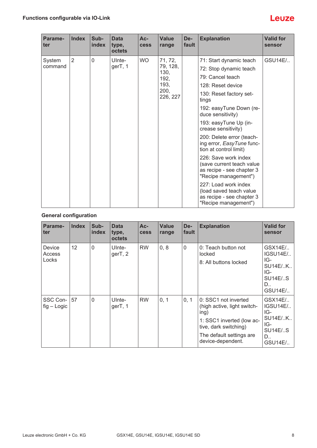| Parame-<br>ter | <b>Index</b>   | Sub-<br>index | <b>Data</b><br>type,<br>octets | $Ac-$<br><b>cess</b> | <b>Value</b><br>range                                | De-<br>fault | <b>Explanation</b>                                                                                     | <b>Valid for</b><br>sensor |  |  |  |  |  |  |  |  |  |  |  |  |                                              |  |
|----------------|----------------|---------------|--------------------------------|----------------------|------------------------------------------------------|--------------|--------------------------------------------------------------------------------------------------------|----------------------------|--|--|--|--|--|--|--|--|--|--|--|--|----------------------------------------------|--|
| System         | $\overline{2}$ | 0             | UInte-                         | <b>WO</b>            | 71, 72,                                              |              | 71: Start dynamic teach                                                                                | GSU14E/                    |  |  |  |  |  |  |  |  |  |  |  |  |                                              |  |
| command        |                |               | gerT, 1                        |                      | 79, 128,<br>130,<br>192,<br>193,<br>200,<br>226, 227 |              | 72: Stop dynamic teach                                                                                 |                            |  |  |  |  |  |  |  |  |  |  |  |  |                                              |  |
|                |                |               |                                |                      |                                                      |              | 79: Cancel teach                                                                                       |                            |  |  |  |  |  |  |  |  |  |  |  |  |                                              |  |
|                |                |               |                                |                      |                                                      |              | 128: Reset device                                                                                      |                            |  |  |  |  |  |  |  |  |  |  |  |  |                                              |  |
|                |                |               |                                |                      |                                                      |              | 130: Reset factory set-<br>tings                                                                       |                            |  |  |  |  |  |  |  |  |  |  |  |  |                                              |  |
|                |                |               |                                |                      |                                                      |              | 192: easyTune Down (re-<br>duce sensitivity)                                                           |                            |  |  |  |  |  |  |  |  |  |  |  |  |                                              |  |
|                |                |               |                                |                      |                                                      |              |                                                                                                        |                            |  |  |  |  |  |  |  |  |  |  |  |  | 193: easyTune Up (in-<br>crease sensitivity) |  |
|                |                |               |                                |                      |                                                      |              | 200: Delete error (teach-<br>ing error, EasyTune func-<br>tion at control limit)                       |                            |  |  |  |  |  |  |  |  |  |  |  |  |                                              |  |
|                |                |               |                                |                      |                                                      |              | 226: Save work index<br>(save current teach value<br>as recipe - see chapter 3<br>"Recipe management") |                            |  |  |  |  |  |  |  |  |  |  |  |  |                                              |  |
|                |                |               |                                |                      |                                                      |              | 227: Load work index<br>(load saved teach value<br>as recipe - see chapter 3<br>"Recipe management")   |                            |  |  |  |  |  |  |  |  |  |  |  |  |                                              |  |

### **General configuration**

| Parame-<br>ter            | <b>Index</b> | Sub-<br>index  | <b>Data</b><br>type,<br>octets | $Ac-$<br><b>cess</b> | <b>Value</b><br>range | De-<br>fault   | <b>Explanation</b>                                                                                                                                                 | <b>Valid for</b><br>sensor                                                             |
|---------------------------|--------------|----------------|--------------------------------|----------------------|-----------------------|----------------|--------------------------------------------------------------------------------------------------------------------------------------------------------------------|----------------------------------------------------------------------------------------|
| Device<br>Access<br>Locks | 12           | $\overline{0}$ | Ulnte-<br>gerT, 2              | <b>RW</b>            | 0, 8                  | $\overline{0}$ | 0: Teach button not<br>locked<br>8: All buttons locked                                                                                                             | GSX14E/<br><b>IGSU14E/</b><br>IG-<br>SU14E/K<br>IG-<br><b>SU14E/S</b><br>D.<br>GSU14E/ |
| SSC Con-<br>$fig - Logic$ | 57           | $\Omega$       | UInte-<br>gerT, 1              | <b>RW</b>            | 0, 1                  | 0, 1           | 0: SSC1 not inverted<br>(high active, light switch-<br>ing)<br>1: SSC1 inverted (low ac-<br>tive, dark switching)<br>The default settings are<br>device-dependent. | GSX14E/<br><b>IGSU14E/</b><br>IG-<br>SU14E/K<br>IG-<br><b>SU14E/S</b><br>D.<br>GSU14E/ |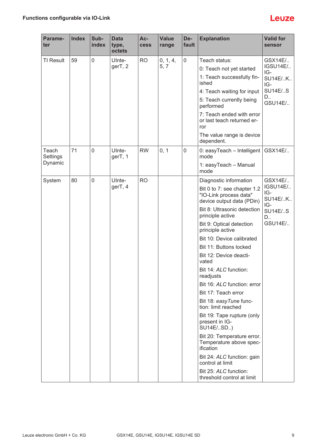| Parame-<br>ter    | <b>Index</b> | Sub-<br>index | <b>Data</b><br>type,<br>octets | Ac-<br><b>cess</b> | <b>Value</b><br>range | De-<br>fault | <b>Explanation</b>                                                                 | <b>Valid for</b><br>sensor               |
|-------------------|--------------|---------------|--------------------------------|--------------------|-----------------------|--------------|------------------------------------------------------------------------------------|------------------------------------------|
| <b>TI Result</b>  | 59           | 0             | UInte-                         | <b>RO</b>          | 0, 1, 4,              | $\mathbf 0$  | Teach status:                                                                      | GSX14E/                                  |
|                   |              |               | gerT, 2                        |                    | 5, 7                  |              | 0: Teach not yet started                                                           | IGSU14E/<br>IG-<br><b>SU14E/K</b><br>IG- |
|                   |              |               |                                |                    |                       |              | 1: Teach successfully fin-<br>ished                                                |                                          |
|                   |              |               |                                |                    |                       |              | 4: Teach waiting for input                                                         | <b>SU14E/S</b>                           |
|                   |              |               |                                |                    |                       |              | 5: Teach currently being<br>performed                                              | D.,<br>GSU14E/                           |
|                   |              |               |                                |                    |                       |              | 7: Teach ended with error<br>or last teach returned er-<br>ror                     |                                          |
|                   |              |               |                                |                    |                       |              | The value range is device<br>dependent.                                            |                                          |
| Teach<br>Settings | 71           | $\mathbf 0$   | UInte-<br>gerT, 1              | <b>RW</b>          | 0, 1                  | $\mathbf 0$  | 0: easyTeach - Intelligent<br>mode                                                 | GSX14E/                                  |
| Dynamic           |              |               |                                |                    |                       |              | 1: easyTeach - Manual<br>mode                                                      |                                          |
| System            | 80           | $\mathbf 0$   | UInte-                         | <b>RO</b>          |                       |              | Diagnostic information                                                             | GSX14E/                                  |
|                   |              |               | gerT, 4                        |                    |                       |              | Bit 0 to 7: see chapter 1.2<br>"IO-Link process data"<br>device output data (PDin) | <b>IGSU14E/</b><br>IG-<br><b>SU14E/K</b> |
|                   |              |               |                                |                    |                       |              | Bit 8: Ultrasonic detection<br>principle active                                    | IG-<br><b>SU14E/S</b><br>D               |
|                   |              |               |                                |                    |                       |              | Bit 9: Optical detection<br>principle active                                       | GSU14E/                                  |
|                   |              |               |                                |                    |                       |              | Bit 10: Device calibrated                                                          |                                          |
|                   |              |               |                                |                    |                       |              | Bit 11: Buttons locked                                                             |                                          |
|                   |              |               |                                |                    |                       |              | Bit 12: Device deacti-<br>vated                                                    |                                          |
|                   |              |               |                                |                    |                       |              | Bit 14: ALC function:<br>readjusts                                                 |                                          |
|                   |              |               |                                |                    |                       |              | Bit 16: ALC function: error                                                        |                                          |
|                   |              |               |                                |                    |                       |              | Bit 17: Teach error                                                                |                                          |
|                   |              |               |                                |                    |                       |              | Bit 18: easyTune func-<br>tion: limit reached                                      |                                          |
|                   |              |               |                                |                    |                       |              | Bit 19: Tape rupture (only<br>present in IG-<br>SU14E/SD)                          |                                          |
|                   |              |               |                                |                    |                       |              | Bit 20: Temperature error.<br>Temperature above spec-<br>ification                 |                                          |
|                   |              |               |                                |                    |                       |              | Bit 24: ALC function: gain<br>control at limit                                     |                                          |
|                   |              |               |                                |                    |                       |              | Bit 25: ALC function:<br>threshold control at limit                                |                                          |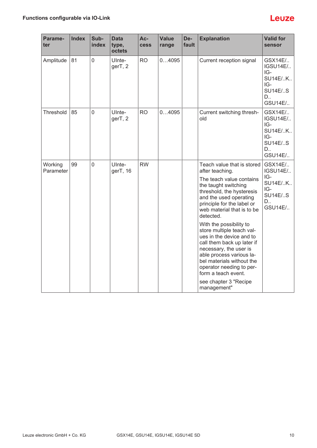| Parame-<br>ter       | <b>Index</b> | Sub-<br>index | <b>Data</b><br>type,<br>octets | Ac-<br><b>cess</b> | <b>Value</b><br>range | De-<br>fault | <b>Explanation</b>                                                                                                                                                                                                                                                                                                                                                                                                                                                                                                                | <b>Valid for</b><br>sensor                                                                     |
|----------------------|--------------|---------------|--------------------------------|--------------------|-----------------------|--------------|-----------------------------------------------------------------------------------------------------------------------------------------------------------------------------------------------------------------------------------------------------------------------------------------------------------------------------------------------------------------------------------------------------------------------------------------------------------------------------------------------------------------------------------|------------------------------------------------------------------------------------------------|
| Amplitude            | 81           | $\mathbf 0$   | UInte-<br>gerT, 2              | <b>RO</b>          | 04095                 |              | Current reception signal                                                                                                                                                                                                                                                                                                                                                                                                                                                                                                          | GSX14E/<br>IGSU14E/<br>IG-<br><b>SU14E/K</b><br>IG-<br><b>SU14E/S</b><br>D<br>GSU14E/          |
| Threshold            | 85           | $\mathbf 0$   | UInte-<br>gerT, 2              | <b>RO</b>          | 04095                 |              | Current switching thresh-<br>old                                                                                                                                                                                                                                                                                                                                                                                                                                                                                                  | GSX14E/<br><b>IGSU14E/</b><br>$IG-$<br><b>SU14E/K</b><br>IG-<br><b>SU14E/S</b><br>D<br>GSU14E/ |
| Working<br>Parameter | 99           | $\mathbf 0$   | UInte-<br>gerT, 16             | <b>RW</b>          |                       |              | Teach value that is stored<br>after teaching.<br>The teach value contains<br>the taught switching<br>threshold, the hysteresis<br>and the used operating<br>principle for the label or<br>web material that is to be<br>detected.<br>With the possibility to<br>store multiple teach val-<br>ues in the device and to<br>call them back up later if<br>necessary, the user is<br>able process various la-<br>bel materials without the<br>operator needing to per-<br>form a teach event.<br>see chapter 3 "Recipe<br>management" | GSX14E/<br><b>IGSU14E/</b><br>IG-<br>SU14E/K<br>IG-<br><b>SU14E/S</b><br>D<br><b>GSU14E/</b>   |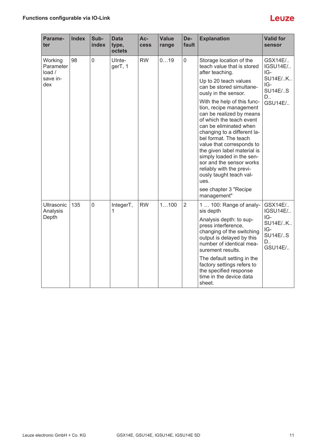| Parame-<br>ter                | <b>Index</b> | Sub-<br>index | <b>Data</b><br>type,<br>octets | Ac-<br><b>Cess</b> | <b>Value</b><br>range | De-<br>fault   | <b>Explanation</b>                                                                                                                                                                                                                                                                                                                                                                                                           | <b>Valid for</b><br>sensor                                                                   |
|-------------------------------|--------------|---------------|--------------------------------|--------------------|-----------------------|----------------|------------------------------------------------------------------------------------------------------------------------------------------------------------------------------------------------------------------------------------------------------------------------------------------------------------------------------------------------------------------------------------------------------------------------------|----------------------------------------------------------------------------------------------|
| Working<br>Parameter<br>load/ | 98           | $\mathbf 0$   | UInte-<br>gerT, 1              | <b>RW</b>          | 019                   | $\overline{0}$ | Storage location of the<br>teach value that is stored<br>after teaching.                                                                                                                                                                                                                                                                                                                                                     | GSX14E/<br>IGSU14E/<br>IG-<br><b>SU14E/K</b><br>IG-<br><b>SU14E/S</b><br>D<br><b>GSU14E/</b> |
| save in-<br>dex               |              |               |                                |                    |                       |                | Up to 20 teach values<br>can be stored simultane-<br>ously in the sensor.                                                                                                                                                                                                                                                                                                                                                    |                                                                                              |
|                               |              |               |                                |                    |                       |                | With the help of this func-<br>tion, recipe management<br>can be realized by means<br>of which the teach event<br>can be eliminated when<br>changing to a different la-<br>bel format. The teach<br>value that corresponds to<br>the given label material is<br>simply loaded in the sen-<br>sor and the sensor works<br>reliably with the previ-<br>ously taught teach val-<br>ues.<br>see chapter 3 "Recipe<br>management" |                                                                                              |
| Ultrasonic<br>Analysis        | 135          | $\mathbf 0$   | IntegerT,<br>1                 | <b>RW</b>          | 1100                  | $\overline{2}$ | 1  100: Range of analy-<br>sis depth                                                                                                                                                                                                                                                                                                                                                                                         | GSX14E/<br><b>IGSU14E/</b>                                                                   |
| Depth                         |              |               |                                |                    |                       |                | Analysis depth: to sup-<br>press interference,<br>changing of the switching<br>output is delayed by this<br>number of identical mea-<br>surement results.                                                                                                                                                                                                                                                                    | IG-<br><b>SU14E/K</b><br>IG-<br><b>SU14E/S</b><br>D<br><b>GSU14E/</b>                        |
|                               |              |               |                                |                    |                       |                | The default setting in the<br>factory settings refers to<br>the specified response<br>time in the device data<br>sheet.                                                                                                                                                                                                                                                                                                      |                                                                                              |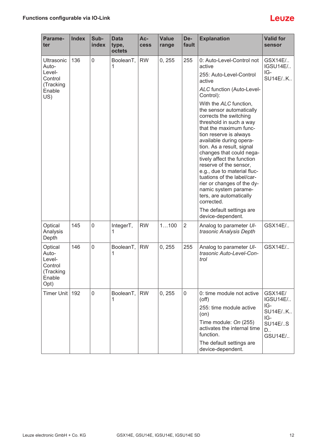| Parame-<br>ter                                                         | <b>Index</b> | Sub-<br>index  | <b>Data</b><br>type,<br>octets | Ac-<br><b>cess</b> | <b>Value</b><br>range | De-<br>fault   | <b>Explanation</b>                                                                                                                                                                                                                                                                                                                               | <b>Valid for</b><br>sensor                                                                   |
|------------------------------------------------------------------------|--------------|----------------|--------------------------------|--------------------|-----------------------|----------------|--------------------------------------------------------------------------------------------------------------------------------------------------------------------------------------------------------------------------------------------------------------------------------------------------------------------------------------------------|----------------------------------------------------------------------------------------------|
| Ultrasonic<br>Auto-<br>Level-<br>Control<br>(Tracking<br>Enable<br>US) | 136          | $\mathbf 0$    | BooleanT,<br>1                 | <b>RW</b>          | 0, 255                | 255            | 0: Auto-Level-Control not<br>active<br>255: Auto-Level-Control<br>active<br><b>ALC function (Auto-Level-</b><br>Control):<br>With the ALC function,<br>the sensor automatically<br>corrects the switching<br>threshold in such a way<br>that the maximum func-<br>tion reserve is always<br>available during opera-<br>tion. As a result, signal | GSX14E/<br>IGSU14E/<br>IG-<br><b>SU14E/K</b>                                                 |
|                                                                        |              |                |                                |                    |                       |                | changes that could nega-<br>tively affect the function<br>reserve of the sensor,<br>e.g., due to material fluc-<br>tuations of the label/car-<br>rier or changes of the dy-<br>namic system parame-<br>ters, are automatically<br>corrected.<br>The default settings are<br>device-dependent.                                                    |                                                                                              |
| Optical<br>Analysis<br>Depth                                           | 145          | $\mathbf 0$    | IntegerT,<br>1                 | <b>RW</b>          | 1100                  | $\overline{2}$ | Analog to parameter UI-<br>trasonic Analysis Depth                                                                                                                                                                                                                                                                                               | GSX14E/                                                                                      |
| Optical<br>Auto-<br>Level-<br>Control<br>(Tracking<br>Enable<br>Opt)   | 146          | $\overline{0}$ | BooleanT,<br>1                 | <b>RW</b>          | 0, 255                | 255            | Analog to parameter UI-<br>trasonic Auto-Level-Con-<br>trol                                                                                                                                                                                                                                                                                      | GSX14E/                                                                                      |
| <b>Timer Unit</b>                                                      | 192          | $\mathbf 0$    | BooleanT,<br>1                 | <b>RW</b>          | 0, 255                | $\overline{0}$ | 0: time module not active<br>$($ off $)$<br>255: time module active<br>(on)<br>Time module: On (255)<br>activates the internal time<br>function.<br>The default settings are<br>device-dependent.                                                                                                                                                | <b>GSX14E/</b><br>IGSU14E/<br>IG-<br><b>SU14E/K</b><br>IG-<br><b>SU14E/S</b><br>D<br>GSU14E/ |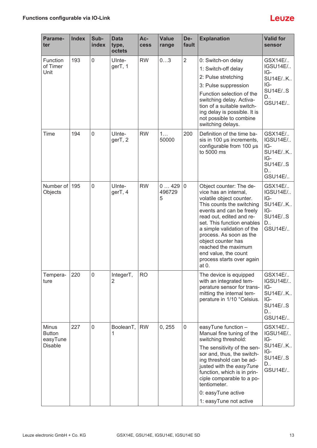| Parame-<br>ter                                              | <b>Index</b> | Sub-<br>index | <b>Data</b><br>type,<br>octets | Ac-<br><b>cess</b> | <b>Value</b><br>range | De-<br>fault   | <b>Explanation</b>                                                                                                                                                                                                                                                                                                                                                  | <b>Valid for</b><br>sensor                                                                     |
|-------------------------------------------------------------|--------------|---------------|--------------------------------|--------------------|-----------------------|----------------|---------------------------------------------------------------------------------------------------------------------------------------------------------------------------------------------------------------------------------------------------------------------------------------------------------------------------------------------------------------------|------------------------------------------------------------------------------------------------|
| Function<br>of Timer<br>Unit                                | 193          | $\mathbf 0$   | UInte-<br>gerT, 1              | <b>RW</b>          | 03                    | $\overline{2}$ | 0: Switch-on delay<br>1: Switch-off delay<br>2: Pulse stretching<br>3: Pulse suppression<br>Function selection of the<br>switching delay. Activa-<br>tion of a suitable switch-<br>ing delay is possible. It is<br>not possible to combine<br>switching delays.                                                                                                     | GSX14E/<br>IGSU14E/<br>IG-<br><b>SU14E/K</b><br>IG-<br><b>SU14E/S</b><br>D<br><b>GSU14E/</b>   |
| Time                                                        | 194          | $\mathbf 0$   | UInte-<br>gerT, 2              | <b>RW</b>          | 1<br>50000            | 200            | Definition of the time ba-<br>sis in 100 µs increments,<br>configurable from 100 µs<br>to 5000 ms                                                                                                                                                                                                                                                                   | GSX14E/<br>IGSU14E/<br>IG-<br><b>SU14E/K</b><br>IG-<br><b>SU14E/S</b><br>D<br>GSU14E/          |
| Number of<br>Objects                                        | 195          | $\mathbf 0$   | UInte-<br>gerT, 4              | <b>RW</b>          | 0429<br>496729<br>5   | $\overline{0}$ | Object counter: The de-<br>vice has an internal,<br>volatile object counter.<br>This counts the switching<br>events and can be freely<br>read out, edited and re-<br>set. This function enables<br>a simple validation of the<br>process. As soon as the<br>object counter has<br>reached the maximum<br>end value, the count<br>process starts over again<br>at 0. | GSX14E/<br>IGSU14E/<br>IG-<br><b>SU14E/K</b><br>IG-<br><b>SU14E/S</b><br>D<br><b>GSU14E/</b>   |
| Tempera-<br>ture                                            | 220          | $\mathbf 0$   | IntegerT,<br>2                 | <b>RO</b>          |                       |                | The device is equipped<br>with an integrated tem-<br>perature sensor for trans-<br>mitting the internal tem-<br>perature in 1/10 °Celsius.                                                                                                                                                                                                                          | GSX14E/<br>IGSU14E/<br>IG-<br><b>SU14E/K</b><br>IG-<br><b>SU14E/S</b><br>D<br><b>GSU14E/</b>   |
| <b>Minus</b><br><b>Button</b><br>easyTune<br><b>Disable</b> | 227          | $\mathbf 0$   | BooleanT,<br>1                 | <b>RW</b>          | 0, 255                | 0              | easyTune function -<br>Manual fine tuning of the<br>switching threshold:<br>The sensitivity of the sen-<br>sor and, thus, the switch-<br>ing threshold can be ad-<br>justed with the easyTune<br>function, which is in prin-<br>ciple comparable to a po-<br>tentiometer.<br>0: easyTune active<br>1: easyTune not active                                           | GSX14E/<br>IGSU14E/<br>IG-<br><b>SU14E/K</b><br>IG-<br><b>SU14E/S</b><br>D.,<br><b>GSU14E/</b> |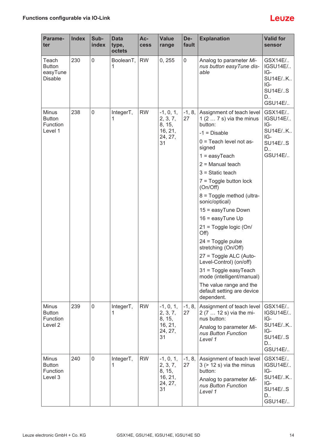| Parame-<br>ter                                       | <b>Index</b> | Sub-<br>index | <b>Data</b><br>type,<br>octets | Ac-<br><b>cess</b> | <b>Value</b><br>range                                         | De-<br>fault     | <b>Explanation</b>                                                                                                                                                                                                                                                                                                                                                                                                                                                                                                                                                                                     | <b>Valid for</b><br>sensor                                                                   |
|------------------------------------------------------|--------------|---------------|--------------------------------|--------------------|---------------------------------------------------------------|------------------|--------------------------------------------------------------------------------------------------------------------------------------------------------------------------------------------------------------------------------------------------------------------------------------------------------------------------------------------------------------------------------------------------------------------------------------------------------------------------------------------------------------------------------------------------------------------------------------------------------|----------------------------------------------------------------------------------------------|
| Teach<br><b>Button</b><br>easyTune<br><b>Disable</b> | 230          | $\mathbf 0$   | BooleanT,<br>1                 | <b>RW</b>          | 0, 255                                                        | $\boldsymbol{0}$ | Analog to parameter Mi-<br>nus button easyTune dis-<br>able                                                                                                                                                                                                                                                                                                                                                                                                                                                                                                                                            | GSX14E/<br><b>IGSU14E/</b><br>IG-<br>SU14E/K<br>IG-<br><b>SU14E/S</b><br>D.,<br>GSU14E/      |
| Minus<br><b>Button</b><br>Function<br>Level 1        | 238          | $\mathbf 0$   | IntegerT,<br>1                 | <b>RW</b>          | $-1, 0, 1,$<br>2, 3, 7,<br>8, 15,<br>16, 21,<br>24, 27,<br>31 | $-1, 8,$<br>27   | Assignment of teach level<br>1 $(2 \ldots 7 s)$ via the minus<br>button:<br>$-1 = Disable$<br>$0 =$ Teach level not as-<br>signed<br>$1 = easyTeach$<br>$2 =$ Manual teach<br>$3 =$ Static teach<br>$7 = Toggle$ button lock<br>(On/Off)<br>8 = Toggle method (ultra-<br>sonic/optical)<br>15 = easyTune Down<br>$16 = easyT$ une Up<br>21 = Toggle logic (On/<br>Off)<br>$24 = Toggle pulse$<br>stretching (On/Off)<br>27 = Toggle ALC (Auto-<br>Level-Control) (on/off)<br>31 = Toggle easyTeach<br>mode (intelligent/manual)<br>The value range and the<br>default setting are device<br>dependent. | GSX14E/<br><b>IGSU14E/</b><br>IG-<br>SU14E/K<br>IG-<br><b>SU14E/S</b><br>D<br>GSU14E/        |
| <b>Minus</b><br><b>Button</b><br>Function<br>Level 2 | 239          | $\mathbf 0$   | IntegerT,<br>1                 | <b>RW</b>          | $-1, 0, 1,$<br>2, 3, 7,<br>8, 15,<br>16, 21,<br>24, 27,<br>31 | $-1, 8,$<br>27   | Assignment of teach level<br>2 (7  12 s) via the mi-<br>nus button:<br>Analog to parameter Mi-<br>nus Button Function<br>Level 1                                                                                                                                                                                                                                                                                                                                                                                                                                                                       | GSX14E/<br>IGSU14E/<br>IG-<br><b>SU14E/K</b><br>IG-<br><b>SU14E/S</b><br>D.,<br>GSU14E/      |
| <b>Minus</b><br><b>Button</b><br>Function<br>Level 3 | 240          | $\mathbf 0$   | IntegerT,<br>1                 | <b>RW</b>          | $-1, 0, 1,$<br>2, 3, 7,<br>8, 15,<br>16, 21,<br>24, 27,<br>31 | $-1, 8,$<br>27   | Assignment of teach level<br>$3$ (> 12 s) via the minus<br>button:<br>Analog to parameter Mi-<br>nus Button Function<br>Level 1                                                                                                                                                                                                                                                                                                                                                                                                                                                                        | GSX14E/<br><b>IGSU14E/</b><br>IG-<br><b>SU14E/K</b><br>IG-<br><b>SU14E/S</b><br>D<br>GSU14E/ |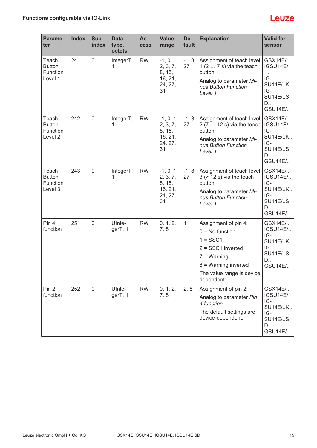| Parame-<br>ter                                       | <b>Index</b> | Sub-<br>index | <b>Data</b><br>type,<br>octets | Ac-<br><b>cess</b> | <b>Value</b><br>range                                         | De-<br>fault   | <b>Explanation</b>                                                                                                                                                   | <b>Valid for</b><br>sensor                                                                          |
|------------------------------------------------------|--------------|---------------|--------------------------------|--------------------|---------------------------------------------------------------|----------------|----------------------------------------------------------------------------------------------------------------------------------------------------------------------|-----------------------------------------------------------------------------------------------------|
| Teach<br><b>Button</b><br>Function<br>Level 1        | 241          | $\mathbf 0$   | IntegerT,<br>1                 | <b>RW</b>          | $-1, 0, 1,$<br>2, 3, 7,<br>8, 15,<br>16, 21,<br>24, 27,<br>31 | $-1, 8,$<br>27 | Assignment of teach level<br>1 $(27s)$ via the teach<br>button:<br>Analog to parameter Mi-<br>nus Button Function<br>Level 1                                         | GSX14E/<br>IGSU14E/<br>$\cdots$<br>$IG-$<br><b>SU14E/K</b><br>IG-<br><b>SU14E/S</b><br>D<br>GSU14E/ |
| Teach<br><b>Button</b><br>Function<br>Level 2        | 242          | 0             | IntegerT,<br>1                 | <b>RW</b>          | $-1, 0, 1,$<br>2, 3, 7,<br>8, 15,<br>16, 21,<br>24, 27,<br>31 | $-1, 8,$<br>27 | Assignment of teach level<br>2 (7  12 s) via the teach<br>button:<br>Analog to parameter Mi-<br>nus Button Function<br>Level 1                                       | GSX14E/<br>IGSU14E/<br>IG-<br><b>SU14E/K</b><br>IG-<br><b>SU14E/S</b><br>$D_{\cdot}$<br>GSU14E/     |
| Teach<br><b>Button</b><br><b>Function</b><br>Level 3 | 243          | $\mathbf 0$   | IntegerT,<br>1                 | <b>RW</b>          | $-1, 0, 1,$<br>2, 3, 7,<br>8, 15,<br>16, 21,<br>24, 27,<br>31 | $-1, 8,$<br>27 | Assignment of teach level<br>$3$ ( $> 12$ s) via the teach<br>button:<br>Analog to parameter Mi-<br>nus Button Function<br>Level 1                                   | GSX14E/<br>IGSU14E/<br>IG-<br><b>SU14E/K</b><br>IG-<br><b>SU14E/S</b><br>D<br>GSU14E/               |
| Pin 4<br>function                                    | 251          | $\mathbf 0$   | UInte-<br>gerT, 1              | <b>RW</b>          | 0, 1, 2,<br>7,8                                               | $\mathbf{1}$   | Assignment of pin 4:<br>$0 = No$ function<br>$1 =$ SSC1<br>$2 = SSC1$ inverted<br>$7 = Warning$<br>$8 =$ Warning inverted<br>The value range is device<br>dependent. | GSX14E/<br><b>IGSU14E/</b><br>IG-<br>SU14E/K<br>IG-<br><b>SU14E/S</b><br>D.,<br>GSU14E/             |
| Pin 2<br>function                                    | 252          | 0             | UInte-<br>gerT, 1              | <b>RW</b>          | 0, 1, 2,<br>7, 8                                              | 2, 8           | Assignment of pin 2:<br>Analog to parameter Pin<br>4 function<br>The default settings are<br>device-dependent.                                                       | GSX14E/<br>IGSU14E/<br>IG-<br><b>SU14E/K</b><br>IG-<br><b>SU14E/S</b><br>D<br>GSU14E/               |